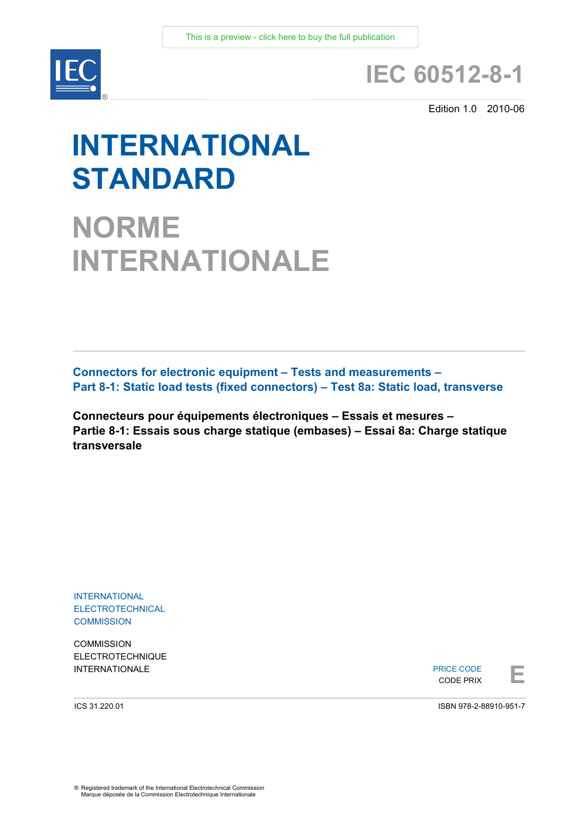

## **IEC 60512-8-1**

Edition 1.0 2010-06

# **INTERNATIONAL STANDARD**

**NORME INTERNATIONALE**

**Connectors for electronic equipment – Tests and measurements – Part 8-1: Static load tests (fixed connectors) – Test 8a: Static load, transverse** 

**Connecteurs pour équipements électroniques – Essais et mesures – Partie 8-1: Essais sous charge statique (embases) – Essai 8a: Charge statique transversale** 

INTERNATIONAL ELECTROTECHNICAL **COMMISSION** 

**COMMISSION** ELECTROTECHNIQUE

INTERNATIONALE PRICE CODE PRICE CODE PRICE CODE PRICE CODE PRICE CODE PRIX PRICE CODE CODE PRIX

ICS 31.220.01

ISBN 978-2-88910-951-7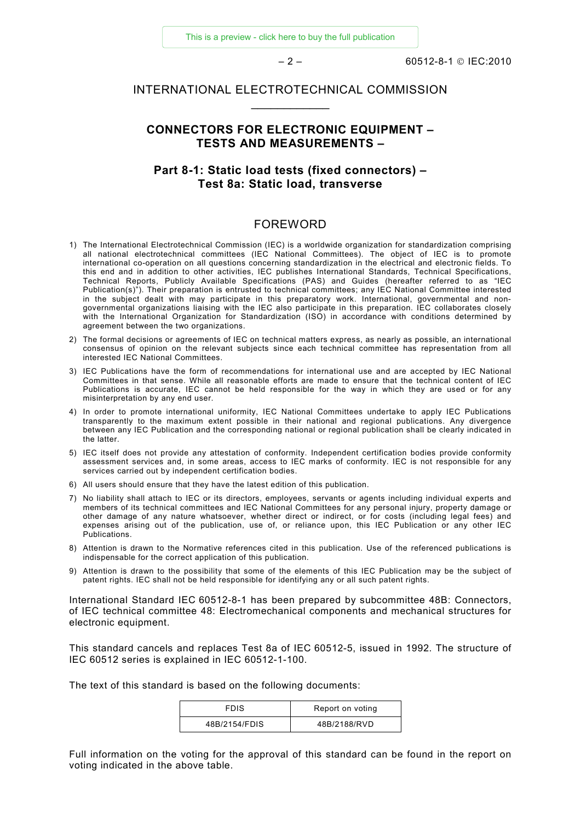[This is a preview - click here to buy the full publication](https://webstore.iec.ch/publication/2407&preview=1)

 $-2 - 60512 - 8 - 1010$ 

#### INTERNATIONAL ELECTROTECHNICAL COMMISSION  $\frac{1}{2}$  ,  $\frac{1}{2}$  ,  $\frac{1}{2}$  ,  $\frac{1}{2}$  ,  $\frac{1}{2}$  ,  $\frac{1}{2}$

#### **CONNECTORS FOR ELECTRONIC EQUIPMENT – TESTS AND MEASUREMENTS –**

#### **Part 8-1: Static load tests (fixed connectors) – Test 8a: Static load, transverse**

#### FOREWORD

- 1) The International Electrotechnical Commission (IEC) is a worldwide organization for standardization comprising all national electrotechnical committees (IEC National Committees). The object of IEC is to promote international co-operation on all questions concerning standardization in the electrical and electronic fields. To this end and in addition to other activities, IEC publishes International Standards, Technical Specifications, Technical Reports, Publicly Available Specifications (PAS) and Guides (hereafter referred to as "IEC Publication(s)"). Their preparation is entrusted to technical committees; any IEC National Committee interested in the subject dealt with may participate in this preparatory work. International, governmental and nongovernmental organizations liaising with the IEC also participate in this preparation. IEC collaborates closely with the International Organization for Standardization (ISO) in accordance with conditions determined by agreement between the two organizations.
- 2) The formal decisions or agreements of IEC on technical matters express, as nearly as possible, an international consensus of opinion on the relevant subjects since each technical committee has representation from all interested IEC National Committees.
- 3) IEC Publications have the form of recommendations for international use and are accepted by IEC National Committees in that sense. While all reasonable efforts are made to ensure that the technical content of IEC Publications is accurate, IEC cannot be held responsible for the way in which they are used or for any misinterpretation by any end user.
- 4) In order to promote international uniformity, IEC National Committees undertake to apply IEC Publications transparently to the maximum extent possible in their national and regional publications. Any divergence between any IEC Publication and the corresponding national or regional publication shall be clearly indicated in the latter.
- 5) IEC itself does not provide any attestation of conformity. Independent certification bodies provide conformity assessment services and, in some areas, access to IEC marks of conformity. IEC is not responsible for any services carried out by independent certification bodies.
- 6) All users should ensure that they have the latest edition of this publication.
- 7) No liability shall attach to IEC or its directors, employees, servants or agents including individual experts and members of its technical committees and IEC National Committees for any personal injury, property damage or other damage of any nature whatsoever, whether direct or indirect, or for costs (including legal fees) and expenses arising out of the publication, use of, or reliance upon, this IEC Publication or any other IEC Publications.
- 8) Attention is drawn to the Normative references cited in this publication. Use of the referenced publications is indispensable for the correct application of this publication.
- 9) Attention is drawn to the possibility that some of the elements of this IEC Publication may be the subject of patent rights. IEC shall not be held responsible for identifying any or all such patent rights.

International Standard IEC 60512-8-1 has been prepared by subcommittee 48B: Connectors, of IEC technical committee 48: Electromechanical components and mechanical structures for electronic equipment.

This standard cancels and replaces Test 8a of IEC 60512-5, issued in 1992. The structure of IEC 60512 series is explained in IEC 60512-1-100.

The text of this standard is based on the following documents:

| FDIS          | Report on voting |
|---------------|------------------|
| 48B/2154/FDIS | 48B/2188/RVD     |

Full information on the voting for the approval of this standard can be found in the report on voting indicated in the above table.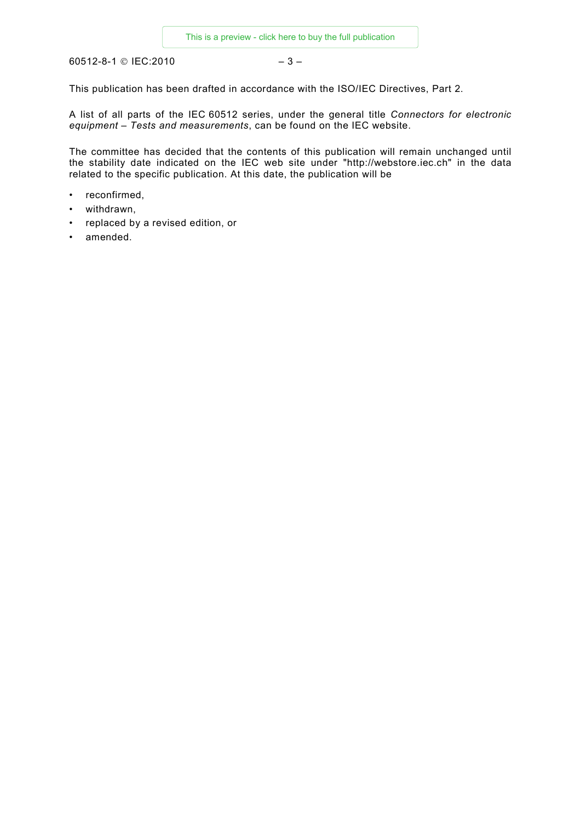60512-8-1 © IEC:2010 – 3 –

This publication has been drafted in accordance with the ISO/IEC Directives, Part 2.

A list of all parts of the IEC 60512 series, under the general title *Connectors for electronic equipment – Tests and measurements*, can be found on the IEC website.

The committee has decided that the contents of this publication will remain unchanged until the stability date indicated on the IEC web site under "http://webstore.iec.ch" in the data related to the specific publication. At this date, the publication will be

- reconfirmed,
- withdrawn,
- replaced by a revised edition, or
- amended.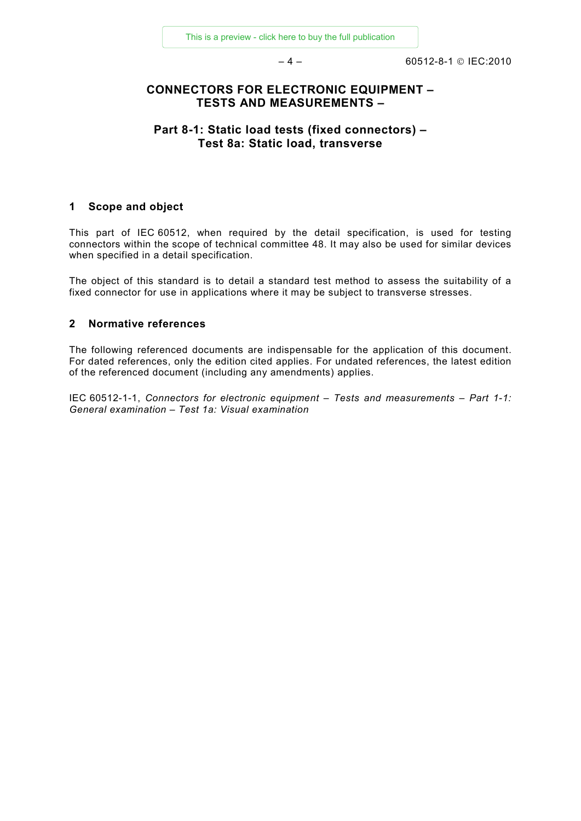– 4 – 60512-8-1 © IEC:2010

#### **CONNECTORS FOR ELECTRONIC EQUIPMENT – TESTS AND MEASUREMENTS –**

#### **Part 8-1: Static load tests (fixed connectors) – Test 8a: Static load, transverse**

#### **1 Scope and object**

This part of IEC 60512, when required by the detail specification, is used for testing connectors within the scope of technical committee 48. It may also be used for similar devices when specified in a detail specification.

The object of this standard is to detail a standard test method to assess the suitability of a fixed connector for use in applications where it may be subject to transverse stresses.

#### **2 Normative references**

The following referenced documents are indispensable for the application of this document. For dated references, only the edition cited applies. For undated references, the latest edition of the referenced document (including any amendments) applies.

IEC 60512-1-1, *Connectors for electronic equipment – Tests and measurements – Part 1-1: General examination – Test 1a: Visual examination*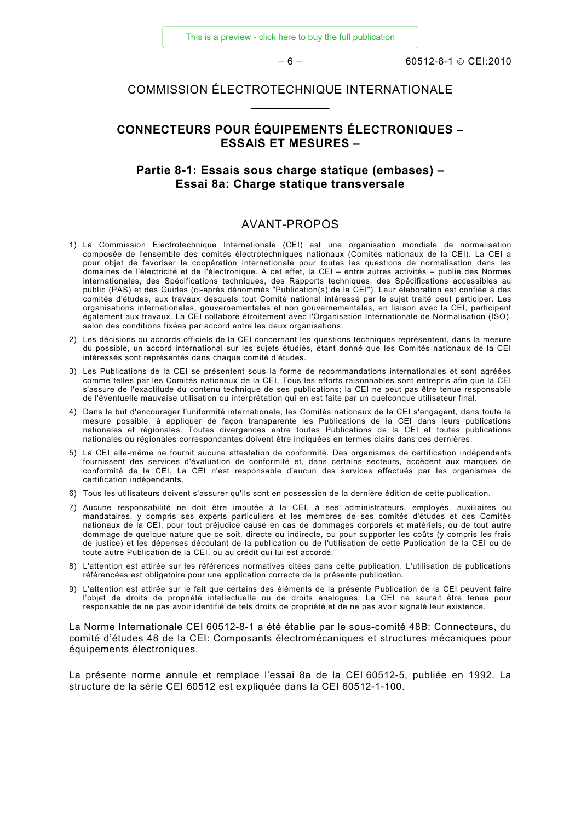[This is a preview - click here to buy the full publication](https://webstore.iec.ch/publication/2407&preview=1)

#### COMMISSION ÉLECTROTECHNIQUE INTERNATIONALE  $\frac{1}{2}$  ,  $\frac{1}{2}$  ,  $\frac{1}{2}$  ,  $\frac{1}{2}$  ,  $\frac{1}{2}$  ,  $\frac{1}{2}$

### **CONNECTEURS POUR ÉQUIPEMENTS ÉLECTRONIQUES – ESSAIS ET MESURES –**

#### **Partie 8-1: Essais sous charge statique (embases) – Essai 8a: Charge statique transversale**

#### AVANT-PROPOS

- 1) La Commission Electrotechnique Internationale (CEI) est une organisation mondiale de normalisation composée de l'ensemble des comités électrotechniques nationaux (Comités nationaux de la CEI). La CEI a pour objet de favoriser la coopération internationale pour toutes les questions de normalisation dans les domaines de l'électricité et de l'électronique. A cet effet, la CEI – entre autres activités – publie des Normes internationales, des Spécifications techniques, des Rapports techniques, des Spécifications accessibles au public (PAS) et des Guides (ci-après dénommés "Publication(s) de la CEI"). Leur élaboration est confiée à des comités d'études, aux travaux desquels tout Comité national intéressé par le sujet traité peut participer. Les organisations internationales, gouvernementales et non gouvernementales, en liaison avec la CEI, participent également aux travaux. La CEI collabore étroitement avec l'Organisation Internationale de Normalisation (ISO), selon des conditions fixées par accord entre les deux organisations.
- 2) Les décisions ou accords officiels de la CEI concernant les questions techniques représentent, dans la mesure du possible, un accord international sur les sujets étudiés, étant donné que les Comités nationaux de la CEI intéressés sont représentés dans chaque comité d'études.
- 3) Les Publications de la CEI se présentent sous la forme de recommandations internationales et sont agréées comme telles par les Comités nationaux de la CEI. Tous les efforts raisonnables sont entrepris afin que la CEI s'assure de l'exactitude du contenu technique de ses publications; la CEI ne peut pas être tenue responsable de l'éventuelle mauvaise utilisation ou interprétation qui en est faite par un quelconque utilisateur final.
- 4) Dans le but d'encourager l'uniformité internationale, les Comités nationaux de la CEI s'engagent, dans toute la mesure possible, à appliquer de façon transparente les Publications de la CEI dans leurs publications nationales et régionales. Toutes divergences entre toutes Publications de la CEI et toutes publications nationales ou régionales correspondantes doivent être indiquées en termes clairs dans ces dernières.
- 5) La CEI elle-même ne fournit aucune attestation de conformité. Des organismes de certification indépendants fournissent des services d'évaluation de conformité et, dans certains secteurs, accèdent aux marques de conformité de la CEI. La CEI n'est responsable d'aucun des services effectués par les organismes de certification indépendants.
- 6) Tous les utilisateurs doivent s'assurer qu'ils sont en possession de la dernière édition de cette publication.
- 7) Aucune responsabilité ne doit être imputée à la CEI, à ses administrateurs, employés, auxiliaires ou mandataires, y compris ses experts particuliers et les membres de ses comités d'études et des Comités nationaux de la CEI, pour tout préjudice causé en cas de dommages corporels et matériels, ou de tout autre dommage de quelque nature que ce soit, directe ou indirecte, ou pour supporter les coûts (y compris les frais de justice) et les dépenses découlant de la publication ou de l'utilisation de cette Publication de la CEI ou de toute autre Publication de la CEI, ou au crédit qui lui est accordé.
- 8) L'attention est attirée sur les références normatives citées dans cette publication. L'utilisation de publications référencées est obligatoire pour une application correcte de la présente publication.
- 9) L'attention est attirée sur le fait que certains des éléments de la présente Publication de la CEI peuvent faire l'objet de droits de propriété intellectuelle ou de droits analogues. La CEI ne saurait être tenue pour responsable de ne pas avoir identifié de tels droits de propriété et de ne pas avoir signalé leur existence.

La Norme Internationale CEI 60512-8-1 a été établie par le sous-comité 48B: Connecteurs, du comité d'études 48 de la CEI: Composants électromécaniques et structures mécaniques pour équipements électroniques.

La présente norme annule et remplace l'essai 8a de la CEI 60512-5, publiée en 1992. La structure de la série CEI 60512 est expliquée dans la CEI 60512-1-100.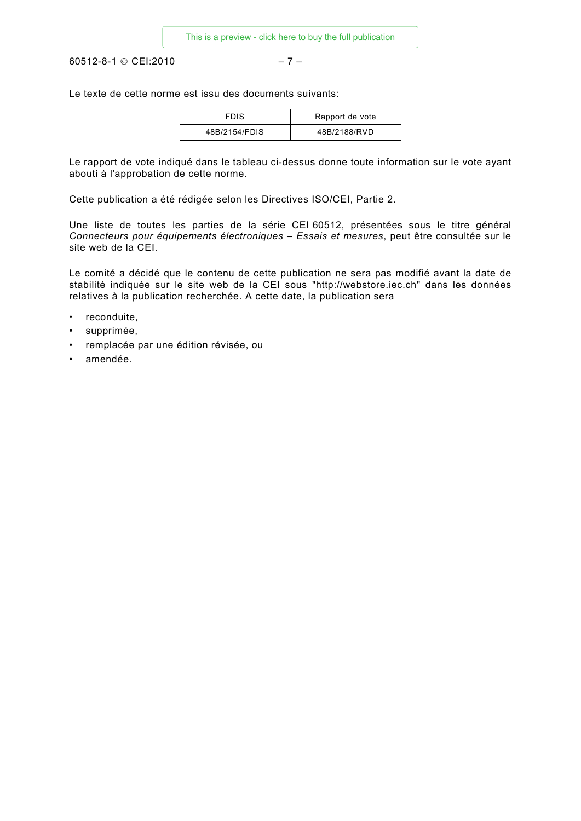$60512-8-1$  © CEI:2010  $-7-$ 

Le texte de cette norme est issu des documents suivants:

| <b>FDIS</b>   | Rapport de vote |
|---------------|-----------------|
| 48B/2154/FDIS | 48B/2188/RVD    |

Le rapport de vote indiqué dans le tableau ci-dessus donne toute information sur le vote ayant abouti à l'approbation de cette norme.

Cette publication a été rédigée selon les Directives ISO/CEI, Partie 2.

Une liste de toutes les parties de la série CEI 60512, présentées sous le titre général *Connecteurs pour équipements électroniques – Essais et mesures*, peut être consultée sur le site web de la CEI.

Le comité a décidé que le contenu de cette publication ne sera pas modifié avant la date de stabilité indiquée sur le site web de la CEI sous "http://webstore.iec.ch" dans les données relatives à la publication recherchée. A cette date, la publication sera

- reconduite,
- supprimée,
- remplacée par une édition révisée, ou
- amendée.